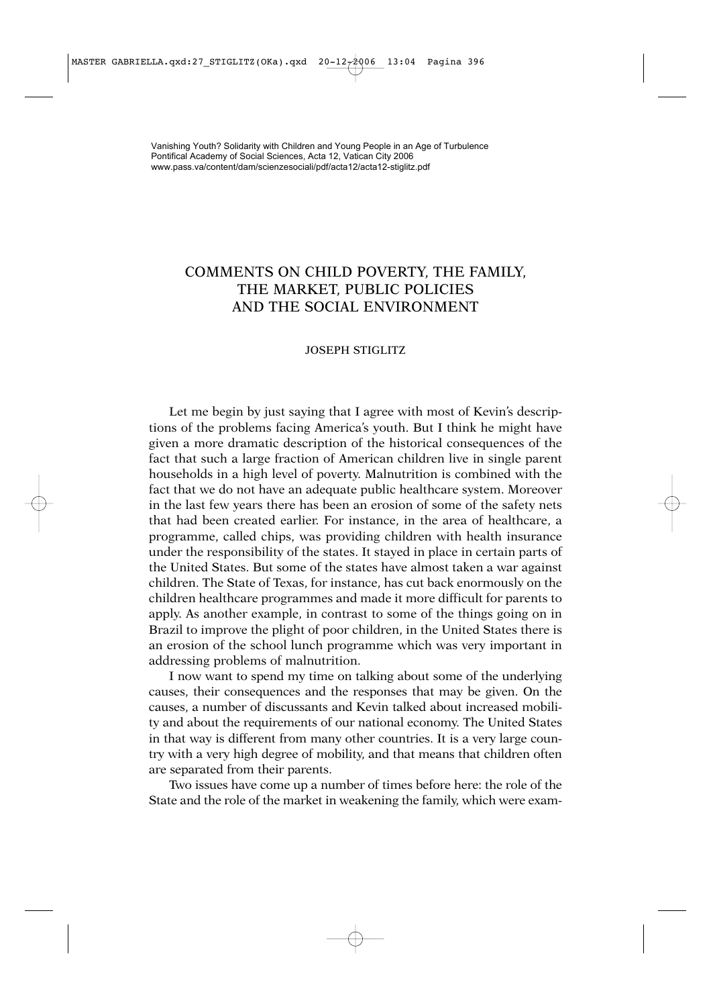## COMMENTS ON CHILD POVERTY, THE FAMILY, THE MARKET, PUBLIC POLICIES AND THE SOCIAL ENVIRONMENT

## JOSEPH STIGLITZ

Let me begin by just saying that I agree with most of Kevin's descriptions of the problems facing America's youth. But I think he might have given a more dramatic description of the historical consequences of the fact that such a large fraction of American children live in single parent households in a high level of poverty. Malnutrition is combined with the fact that we do not have an adequate public healthcare system. Moreover in the last few years there has been an erosion of some of the safety nets that had been created earlier. For instance, in the area of healthcare, a programme, called chips, was providing children with health insurance under the responsibility of the states. It stayed in place in certain parts of the United States. But some of the states have almost taken a war against children. The State of Texas, for instance, has cut back enormously on the children healthcare programmes and made it more difficult for parents to apply. As another example, in contrast to some of the things going on in Brazil to improve the plight of poor children, in the United States there is an erosion of the school lunch programme which was very important in addressing problems of malnutrition.

I now want to spend my time on talking about some of the underlying causes, their consequences and the responses that may be given. On the causes, a number of discussants and Kevin talked about increased mobility and about the requirements of our national economy. The United States in that way is different from many other countries. It is a very large country with a very high degree of mobility, and that means that children often are separated from their parents.

Two issues have come up a number of times before here: the role of the State and the role of the market in weakening the family, which were exam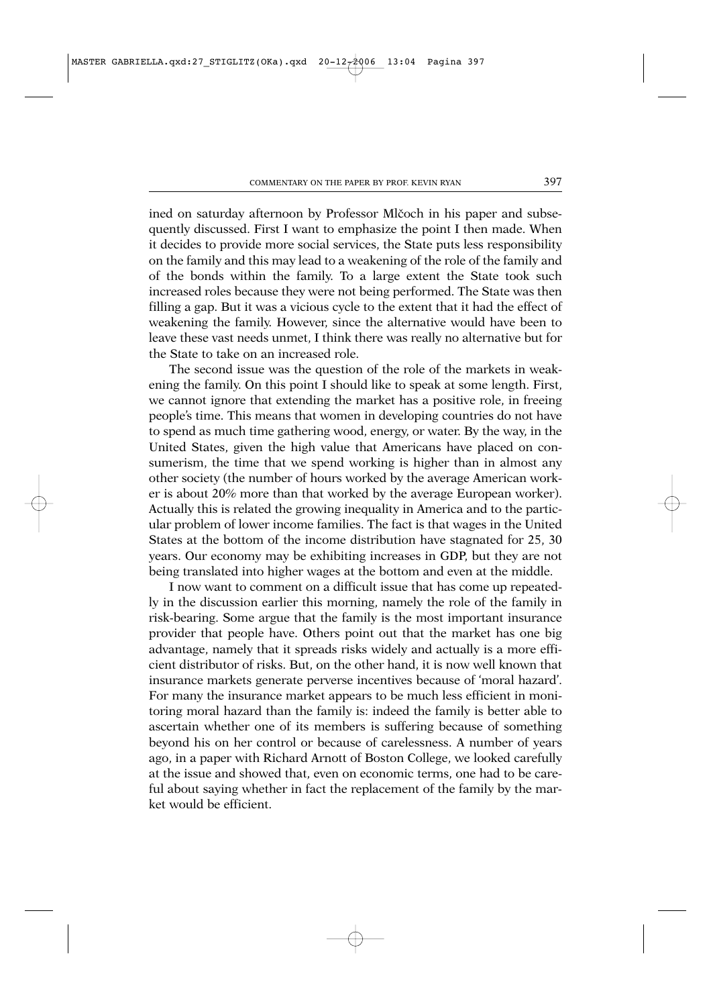ined on saturday afternoon by Professor Mlčoch in his paper and subsequently discussed. First I want to emphasize the point I then made. When it decides to provide more social services, the State puts less responsibility on the family and this may lead to a weakening of the role of the family and of the bonds within the family. To a large extent the State took such increased roles because they were not being performed. The State was then filling a gap. But it was a vicious cycle to the extent that it had the effect of weakening the family. However, since the alternative would have been to leave these vast needs unmet, I think there was really no alternative but for the State to take on an increased role.

The second issue was the question of the role of the markets in weakening the family. On this point I should like to speak at some length. First, we cannot ignore that extending the market has a positive role, in freeing people's time. This means that women in developing countries do not have to spend as much time gathering wood, energy, or water. By the way, in the United States, given the high value that Americans have placed on consumerism, the time that we spend working is higher than in almost any other society (the number of hours worked by the average American worker is about 20% more than that worked by the average European worker). Actually this is related the growing inequality in America and to the particular problem of lower income families. The fact is that wages in the United States at the bottom of the income distribution have stagnated for 25, 30 years. Our economy may be exhibiting increases in GDP, but they are not being translated into higher wages at the bottom and even at the middle.

I now want to comment on a difficult issue that has come up repeatedly in the discussion earlier this morning, namely the role of the family in risk-bearing. Some argue that the family is the most important insurance provider that people have. Others point out that the market has one big advantage, namely that it spreads risks widely and actually is a more efficient distributor of risks. But, on the other hand, it is now well known that insurance markets generate perverse incentives because of 'moral hazard'. For many the insurance market appears to be much less efficient in monitoring moral hazard than the family is: indeed the family is better able to ascertain whether one of its members is suffering because of something beyond his on her control or because of carelessness. A number of years ago, in a paper with Richard Arnott of Boston College, we looked carefully at the issue and showed that, even on economic terms, one had to be careful about saying whether in fact the replacement of the family by the market would be efficient.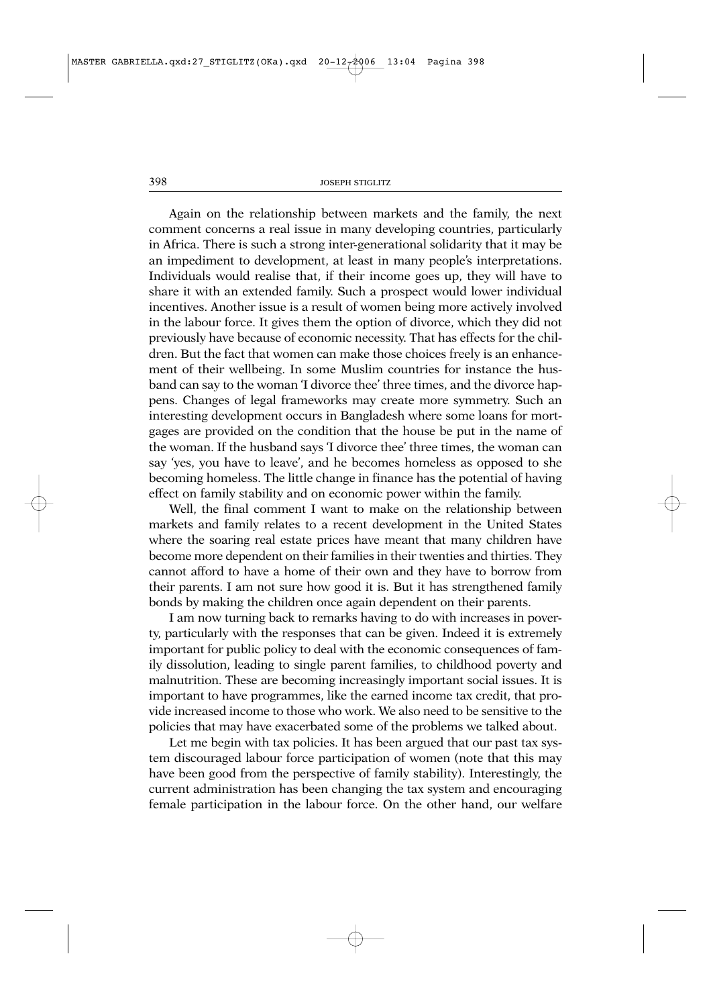Again on the relationship between markets and the family, the next comment concerns a real issue in many developing countries, particularly in Africa. There is such a strong inter-generational solidarity that it may be an impediment to development, at least in many people's interpretations. Individuals would realise that, if their income goes up, they will have to share it with an extended family. Such a prospect would lower individual incentives. Another issue is a result of women being more actively involved in the labour force. It gives them the option of divorce, which they did not previously have because of economic necessity. That has effects for the children. But the fact that women can make those choices freely is an enhancement of their wellbeing. In some Muslim countries for instance the husband can say to the woman 'I divorce thee' three times, and the divorce happens. Changes of legal frameworks may create more symmetry. Such an interesting development occurs in Bangladesh where some loans for mortgages are provided on the condition that the house be put in the name of the woman. If the husband says 'I divorce thee' three times, the woman can say 'yes, you have to leave', and he becomes homeless as opposed to she becoming homeless. The little change in finance has the potential of having effect on family stability and on economic power within the family.

Well, the final comment I want to make on the relationship between markets and family relates to a recent development in the United States where the soaring real estate prices have meant that many children have become more dependent on their families in their twenties and thirties. They cannot afford to have a home of their own and they have to borrow from their parents. I am not sure how good it is. But it has strengthened family bonds by making the children once again dependent on their parents.

I am now turning back to remarks having to do with increases in poverty, particularly with the responses that can be given. Indeed it is extremely important for public policy to deal with the economic consequences of family dissolution, leading to single parent families, to childhood poverty and malnutrition. These are becoming increasingly important social issues. It is important to have programmes, like the earned income tax credit, that provide increased income to those who work. We also need to be sensitive to the policies that may have exacerbated some of the problems we talked about.

Let me begin with tax policies. It has been argued that our past tax system discouraged labour force participation of women (note that this may have been good from the perspective of family stability). Interestingly, the current administration has been changing the tax system and encouraging female participation in the labour force. On the other hand, our welfare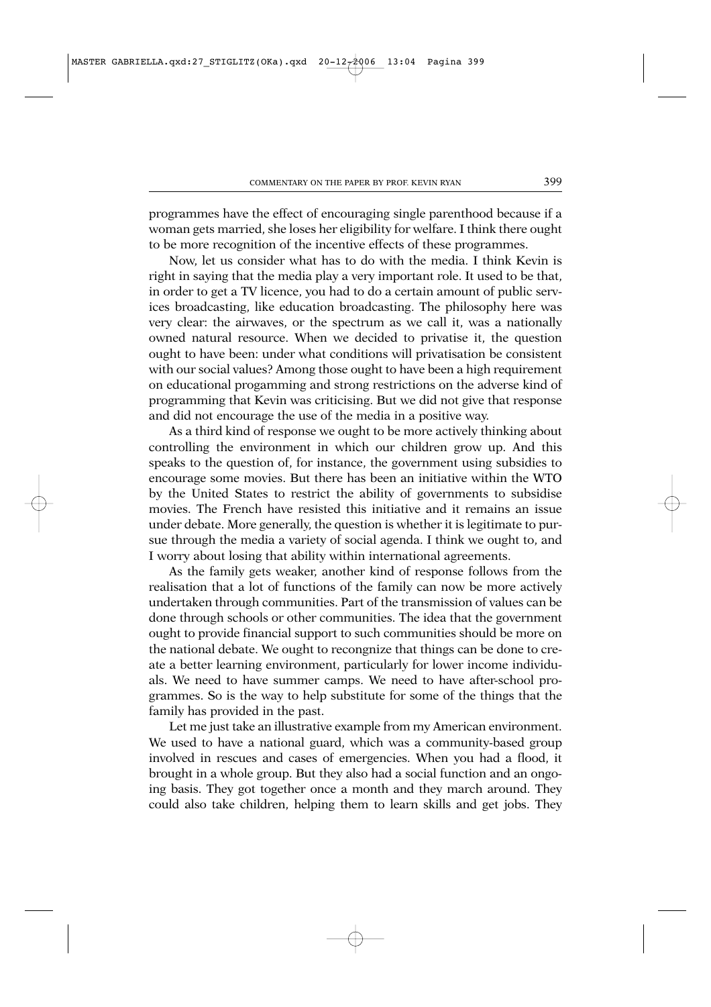programmes have the effect of encouraging single parenthood because if a woman gets married, she loses her eligibility for welfare. I think there ought to be more recognition of the incentive effects of these programmes.

Now, let us consider what has to do with the media. I think Kevin is right in saying that the media play a very important role. It used to be that, in order to get a TV licence, you had to do a certain amount of public services broadcasting, like education broadcasting. The philosophy here was very clear: the airwaves, or the spectrum as we call it, was a nationally owned natural resource. When we decided to privatise it, the question ought to have been: under what conditions will privatisation be consistent with our social values? Among those ought to have been a high requirement on educational progamming and strong restrictions on the adverse kind of programming that Kevin was criticising. But we did not give that response and did not encourage the use of the media in a positive way.

As a third kind of response we ought to be more actively thinking about controlling the environment in which our children grow up. And this speaks to the question of, for instance, the government using subsidies to encourage some movies. But there has been an initiative within the WTO by the United States to restrict the ability of governments to subsidise movies. The French have resisted this initiative and it remains an issue under debate. More generally, the question is whether it is legitimate to pursue through the media a variety of social agenda. I think we ought to, and I worry about losing that ability within international agreements.

As the family gets weaker, another kind of response follows from the realisation that a lot of functions of the family can now be more actively undertaken through communities. Part of the transmission of values can be done through schools or other communities. The idea that the government ought to provide financial support to such communities should be more on the national debate. We ought to recongnize that things can be done to create a better learning environment, particularly for lower income individuals. We need to have summer camps. We need to have after-school programmes. So is the way to help substitute for some of the things that the family has provided in the past.

Let me just take an illustrative example from my American environment. We used to have a national guard, which was a community-based group involved in rescues and cases of emergencies. When you had a flood, it brought in a whole group. But they also had a social function and an ongoing basis. They got together once a month and they march around. They could also take children, helping them to learn skills and get jobs. They